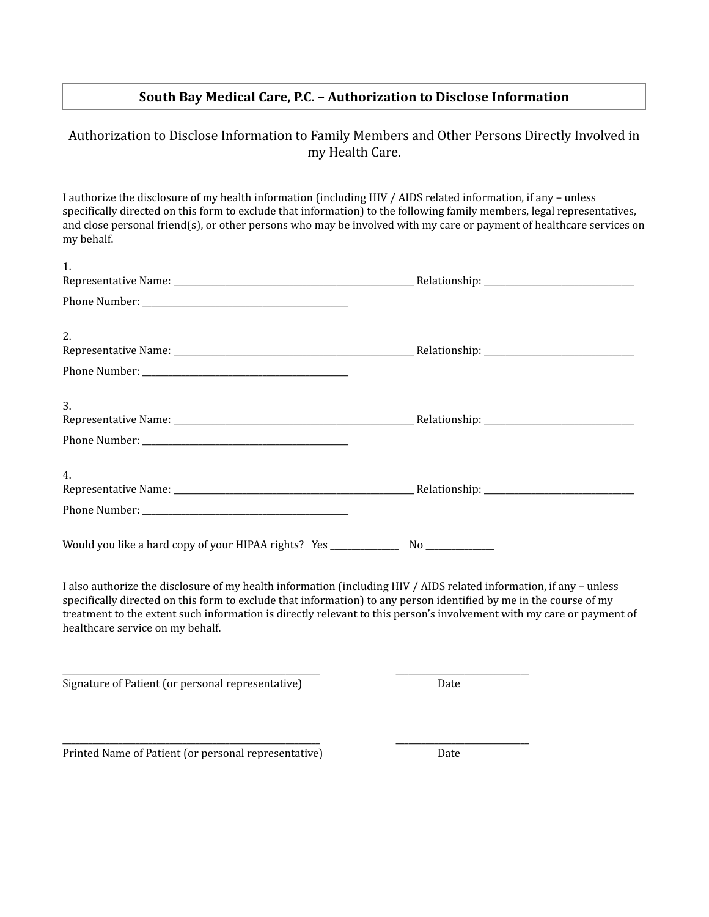## **South Bay Medical Care, P.C. - Authorization to Disclose Information**

## Authorization to Disclose Information to Family Members and Other Persons Directly Involved in my Health Care.

I authorize the disclosure of my health information (including HIV / AIDS related information, if any - unless specifically directed on this form to exclude that information) to the following family members, legal representatives, and close personal friend(s), or other persons who may be involved with my care or payment of healthcare services on my behalf. 

| 1.                                                                                                                                                                                                                                                                            |                                                                                                                       |
|-------------------------------------------------------------------------------------------------------------------------------------------------------------------------------------------------------------------------------------------------------------------------------|-----------------------------------------------------------------------------------------------------------------------|
|                                                                                                                                                                                                                                                                               |                                                                                                                       |
| 2.                                                                                                                                                                                                                                                                            |                                                                                                                       |
|                                                                                                                                                                                                                                                                               |                                                                                                                       |
| 3.                                                                                                                                                                                                                                                                            |                                                                                                                       |
|                                                                                                                                                                                                                                                                               |                                                                                                                       |
| 4.                                                                                                                                                                                                                                                                            |                                                                                                                       |
|                                                                                                                                                                                                                                                                               |                                                                                                                       |
| Would you like a hard copy of your HIPAA rights? Yes ____________________________                                                                                                                                                                                             |                                                                                                                       |
| I also authorize the disclosure of my health information (including HIV / AIDS related information, if any - unless<br>specifically directed on this form to exclude that information) to any person identified by me in the course of my<br>healthcare service on my behalf. | treatment to the extent such information is directly relevant to this person's involvement with my care or payment of |
| Signature of Patient (or personal representative)                                                                                                                                                                                                                             | Date                                                                                                                  |

\_\_\_\_\_\_\_\_\_\_\_\_\_\_\_\_\_\_\_\_\_\_\_\_\_\_\_\_\_\_\_\_\_\_\_\_\_\_\_\_\_\_\_\_\_\_\_\_\_\_\_\_\_\_\_\_\_\_\_\_ \_\_\_\_\_\_\_\_\_\_\_\_\_\_\_\_\_\_\_\_\_\_\_\_\_\_\_\_\_\_\_ 

Printed Name of Patient (or personal representative) Date